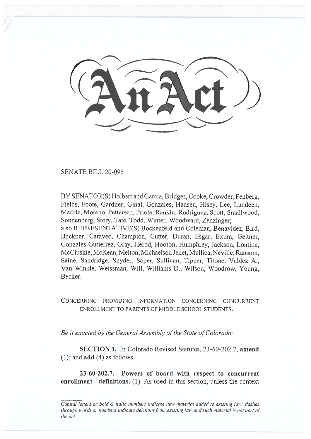SENATE BILL 20-095

BY SENATOR(S) Holbert and Garcia, Bridges, Cooke, Crowder, Fenberg, Fields, Foote, Gardner, Ginal, Gonzales, Hansen, Hisey, Lee, Lundeen, Marble, Moreno, Pettersen, Priola, Rankin, Rodriguez, Scott, Smallwood, Sonnenberg, Story, Tate, Todd, Winter, Woodward, Zenzinger; also REPRESENTATIVE(S) Bockenfeld and Coleman, Benavidez, Bird, Buckner, Caraveo, Champion, Cutter, Duran, Esgar, Exum, Geitner, Gonzales-Gutierrez, Gray, Herod, Hooton, Humphrey, Jackson, Lontine, McCluskie, McKean, Melton, Michaelson Jenet, Mullica, Neville, Ransom, Saine, Sandridge, Snyder, Soper, Sullivan, Tipper, Titone, Valdez A., Van Winkle, Weissman, Will, Williams D., Wilson, Woodrow, Young, Becker.

CONCERNING PROVIDING INFORMATION CONCERNING CONCURRENT ENROLLMENT TO PARENTS OF MIDDLE SCHOOL STUDENTS.

*Be it enacted by the General Assembly of the State of Colorado:* 

**SECTION 1.** In Colorado Revised Statutes, 23-60-202.7, **amend**  (1); and **add** (4) as follows:

**23-60-202.7. Powers of board with respect to concurrent enrollment - definitions.** (1) As used in this section, unless the context

Capital letters or bold & italic numbers indicate new material added to existing law; dashes through words or numbers indicate deletions from existing law and such material is not part of the act.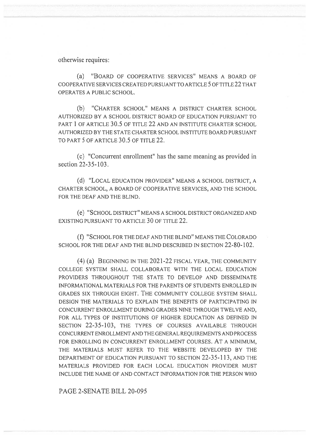otherwise requires:

(a) "BOARD OF COOPERATIVE SERVICES" MEANS A BOARD OF COOPERATIVE SERVICES CREATED PURSUANT TO ARTICLE 5 OF TITLE 22 THAT OPERATES A PUBLIC SCHOOL.

(b) "CHARTER SCHOOL" MEANS A DISTRICT CHARTER SCHOOL AUTHORIZED BY A SCHOOL DISTRICT BOARD OF EDUCATION PURSUANT TO PART 1 OF ARTICLE 30.5 OF TITLE 22 AND AN INSTITUTE CHARTER SCHOOL AUTHORIZED BY THE STATE CHARTER SCHOOL INSTITUTE BOARD PURSUANT TO PART 5 OF ARTICLE 30.5 OF TITLE 22.

(c) "Concurrent enrollment" has the same meaning as provided in section 22-35-103.

(d) "LOCAL EDUCATION PROVIDER" MEANS A SCHOOL DISTRICT, A CHARTER SCHOOL, A BOARD OF COOPERATIVE SERVICES, AND THE SCHOOL FOR THE DEAF AND THE BLIND.

(e) "SCHOOL DISTRICT" MEANS A SCHOOL DISTRICT ORGANIZED AND EXISTING PURSUANT TO ARTICLE 30 OF TITLE 22.

(f) "SCHOOL FOR THE DEAF AND THE BLIND" MEANS THE COLORADO SCHOOL FOR THE DEAF AND THE BLIND DESCRIBED IN SECTION 22-80-102.

(4) (a) BEGINNING IN THE 2021-22 FISCAL YEAR, THE COMMUNITY COLLEGE SYSTEM SHALL COLLABORATE WITH THE LOCAL EDUCATION PROVIDERS THROUGHOUT THE STATE TO DEVELOP AND DISSEMINATE INFORMATIONAL MATERIALS FOR THE PARENTS OF STUDENTS ENROLLED IN GRADES SIX THROUGH EIGHT. THE COMMUNITY COLLEGE SYSTEM SHALL DESIGN THE MATERIALS TO EXPLAIN THE BENEFITS OF PARTICIPATING IN CONCURRENT ENROLLMENT DURING GRADES NINE THROUGH TWELVE AND, FOR ALL TYPES OF INSTITUTIONS OF HIGHER EDUCATION AS DEFINED IN SECTION 22-35-103, THE TYPES OF COURSES AVAILABLE THROUGH CONCURRENT ENROLLMENT AND THE GENERAL REQUIREMENTS AND PROCESS FOR ENROLLING IN CONCURRENT ENROLLMENT COURSES. AT A MINIMUM, THE MATERIALS MUST REFER TO THE WEBSITE DEVELOPED BY THE DEPARTMENT OF EDUCATION PURSUANT TO SECTION 22-35-113, AND THE MATERIALS PROVIDED FOR EACH LOCAL EDUCATION PROVIDER MUST INCLUDE THE NAME OF AND CONTACT INFORMATION FOR THE PERSON WHO

PAGE 2-SENATE BILL 20-095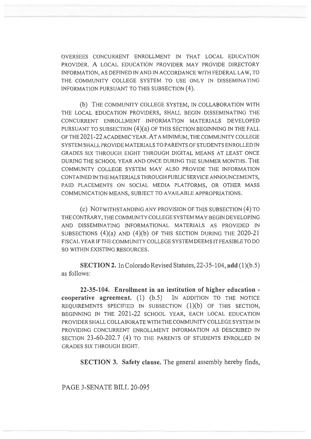OVERSEES CONCURRENT ENROLLMENT IN THAT LOCAL EDUCATION PROVIDER. A LOCAL EDUCATION PROVIDER MAY PROVIDE DIRECTORY INFORMATION, AS DEFINED IN AND IN ACCORDANCE WITH FEDERAL LAW, TO THE COMMUNITY COLLEGE SYSTEM TO USE ONLY IN DISSEMINATING INFORMATION PURSUANT TO THIS SUBSECTION (4).

(b) THE COMMUNITY COLLEGE SYSTEM, IN COLLABORATION WITH THE LOCAL EDUCATION PROVIDERS, SHALL BEGIN DISSEMINATING THE CONCURRENT ENROLLMENT INFORMATION MATERIALS DEVELOPED PURSUANT TO SUBSECTION (4)(a) OF THIS SECTION BEGINNING IN THE FALL OF THE 2021-22 ACADEMIC YEAR. AT A MINIMUM, THE COMMUNITY COLLEGE SYSTEM SHALL PROVIDE MATERIALS TO PARENTS OF STUDENTS ENROLLED IN GRADES SIX THROUGH EIGHT THROUGH DIGITAL MEANS AT LEAST ONCE DURING THE SCHOOL YEAR AND ONCE DURING THE SUMMER MONTHS. THE COMMUNITY COLLEGE SYSTEM MAY ALSO PROVIDE THE INFORMATION CONTAINED IN THE MATERIALS THROUGH PUBLIC SERVICE ANNOUNCEMENTS, PAID PLACEMENTS ON SOCIAL MEDIA PLATFORMS, OR OTHER MASS COMMUNICATION MEANS, SUBJECT TO AVAILABLE APPROPRIATIONS.

(c) NOTWITHSTANDING ANY PROVISION OF THIS SUBSECTION (4) TO THE CONTRARY, THE COMMUNITY COLLEGE SYSTEM MAY BEGIN DEVELOPING AND DISSEMINATING INFORMATIONAL MATERIALS AS PROVIDED IN SUBSECTIONS  $(4)(a)$  and  $(4)(b)$  of this section during the 2020-21 FISCAL YEAR IF THE COMMUNITY COLLEGE SYSTEM DEEMS IT FEASIBLE TO DO SO WITHIN EXISTING RESOURCES.

**SECTION 2.** In Colorado Revised Statutes, 22-35-104, **add** (1)(b.5) as follows:

**22-35-104. Enrollment in an institution of higher education cooperative agreement.** (1) (b.5) IN ADDITION TO THE NOTICE REQUIREMENTS SPECIFIED IN SUBSECTION (1)(b) OF THIS SECTION, BEGINNING IN THE 2021-22 SCHOOL YEAR, EACH LOCAL EDUCATION PROVIDER SHALL COLLABORATE WITH THE COMMUNITY COLLEGE SYSTEM IN PROVIDING CONCURRENT ENROLLMENT INFORMATION AS DESCRIBED IN SECTION 23-60-202.7 (4) TO THE PARENTS OF STUDENTS ENROLLED IN GRADES SIX THROUGH EIGHT.

**SECTION 3. Safety clause.** The general assembly hereby finds,

PAGE 3-SENATE BILL 20-095